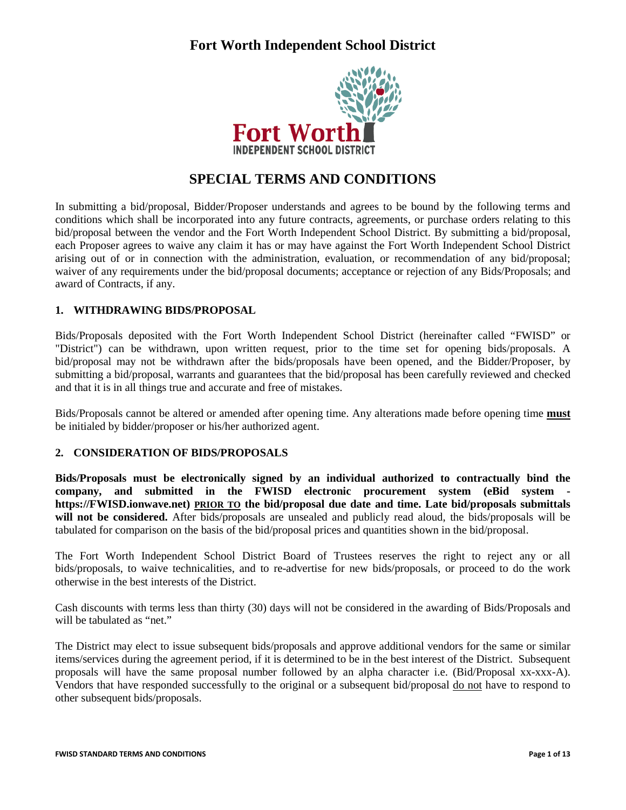

# **SPECIAL TERMS AND CONDITIONS**

In submitting a bid/proposal, Bidder/Proposer understands and agrees to be bound by the following terms and conditions which shall be incorporated into any future contracts, agreements, or purchase orders relating to this bid/proposal between the vendor and the Fort Worth Independent School District. By submitting a bid/proposal, each Proposer agrees to waive any claim it has or may have against the Fort Worth Independent School District arising out of or in connection with the administration, evaluation, or recommendation of any bid/proposal; waiver of any requirements under the bid/proposal documents; acceptance or rejection of any Bids/Proposals; and award of Contracts, if any.

#### **1. WITHDRAWING BIDS/PROPOSAL**

Bids/Proposals deposited with the Fort Worth Independent School District (hereinafter called "FWISD" or "District") can be withdrawn, upon written request, prior to the time set for opening bids/proposals. A bid/proposal may not be withdrawn after the bids/proposals have been opened, and the Bidder/Proposer, by submitting a bid/proposal, warrants and guarantees that the bid/proposal has been carefully reviewed and checked and that it is in all things true and accurate and free of mistakes.

Bids/Proposals cannot be altered or amended after opening time. Any alterations made before opening time **must** be initialed by bidder/proposer or his/her authorized agent.

#### **2. CONSIDERATION OF BIDS/PROPOSALS**

**Bids/Proposals must be electronically signed by an individual authorized to contractually bind the company, and submitted in the FWISD electronic procurement system (eBid system https://FWISD.ionwave.net) PRIOR TO the bid/proposal due date and time. Late bid/proposals submittals will not be considered.** After bids/proposals are unsealed and publicly read aloud, the bids/proposals will be tabulated for comparison on the basis of the bid/proposal prices and quantities shown in the bid/proposal.

The Fort Worth Independent School District Board of Trustees reserves the right to reject any or all bids/proposals, to waive technicalities, and to re-advertise for new bids/proposals, or proceed to do the work otherwise in the best interests of the District.

Cash discounts with terms less than thirty (30) days will not be considered in the awarding of Bids/Proposals and will be tabulated as "net."

The District may elect to issue subsequent bids/proposals and approve additional vendors for the same or similar items/services during the agreement period, if it is determined to be in the best interest of the District. Subsequent proposals will have the same proposal number followed by an alpha character i.e. (Bid/Proposal xx-xxx-A). Vendors that have responded successfully to the original or a subsequent bid/proposal do not have to respond to other subsequent bids/proposals.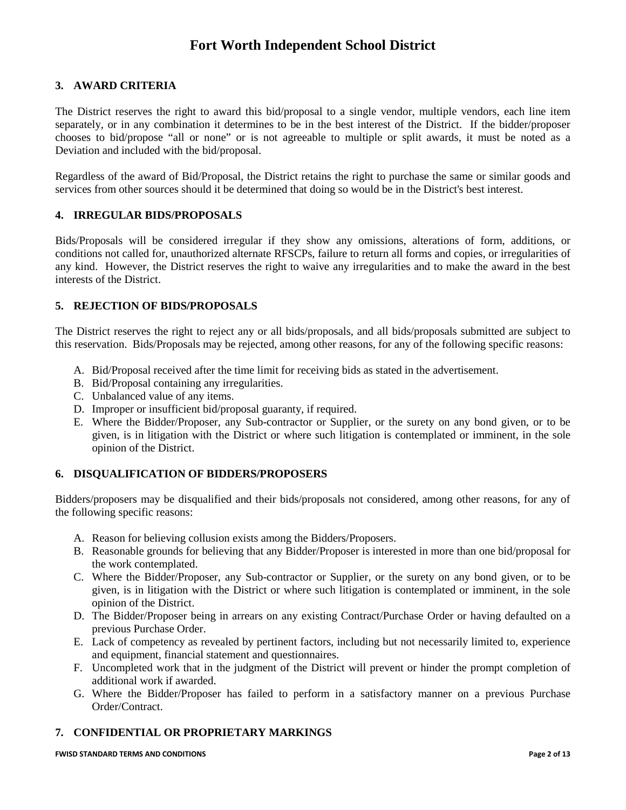#### **3. AWARD CRITERIA**

The District reserves the right to award this bid/proposal to a single vendor, multiple vendors, each line item separately, or in any combination it determines to be in the best interest of the District. If the bidder/proposer chooses to bid/propose "all or none" or is not agreeable to multiple or split awards, it must be noted as a Deviation and included with the bid/proposal.

Regardless of the award of Bid/Proposal, the District retains the right to purchase the same or similar goods and services from other sources should it be determined that doing so would be in the District's best interest.

#### **4. IRREGULAR BIDS/PROPOSALS**

Bids/Proposals will be considered irregular if they show any omissions, alterations of form, additions, or conditions not called for, unauthorized alternate RFSCPs, failure to return all forms and copies, or irregularities of any kind. However, the District reserves the right to waive any irregularities and to make the award in the best interests of the District.

#### **5. REJECTION OF BIDS/PROPOSALS**

The District reserves the right to reject any or all bids/proposals, and all bids/proposals submitted are subject to this reservation. Bids/Proposals may be rejected, among other reasons, for any of the following specific reasons:

- A. Bid/Proposal received after the time limit for receiving bids as stated in the advertisement.
- B. Bid/Proposal containing any irregularities.
- C. Unbalanced value of any items.
- D. Improper or insufficient bid/proposal guaranty, if required.
- E. Where the Bidder/Proposer, any Sub-contractor or Supplier, or the surety on any bond given, or to be given, is in litigation with the District or where such litigation is contemplated or imminent, in the sole opinion of the District.

#### **6. DISQUALIFICATION OF BIDDERS/PROPOSERS**

Bidders/proposers may be disqualified and their bids/proposals not considered, among other reasons, for any of the following specific reasons:

- A. Reason for believing collusion exists among the Bidders/Proposers.
- B. Reasonable grounds for believing that any Bidder/Proposer is interested in more than one bid/proposal for the work contemplated.
- C. Where the Bidder/Proposer, any Sub-contractor or Supplier, or the surety on any bond given, or to be given, is in litigation with the District or where such litigation is contemplated or imminent, in the sole opinion of the District.
- D. The Bidder/Proposer being in arrears on any existing Contract/Purchase Order or having defaulted on a previous Purchase Order.
- E. Lack of competency as revealed by pertinent factors, including but not necessarily limited to, experience and equipment, financial statement and questionnaires.
- F. Uncompleted work that in the judgment of the District will prevent or hinder the prompt completion of additional work if awarded.
- G. Where the Bidder/Proposer has failed to perform in a satisfactory manner on a previous Purchase Order/Contract.

#### **7. CONFIDENTIAL OR PROPRIETARY MARKINGS**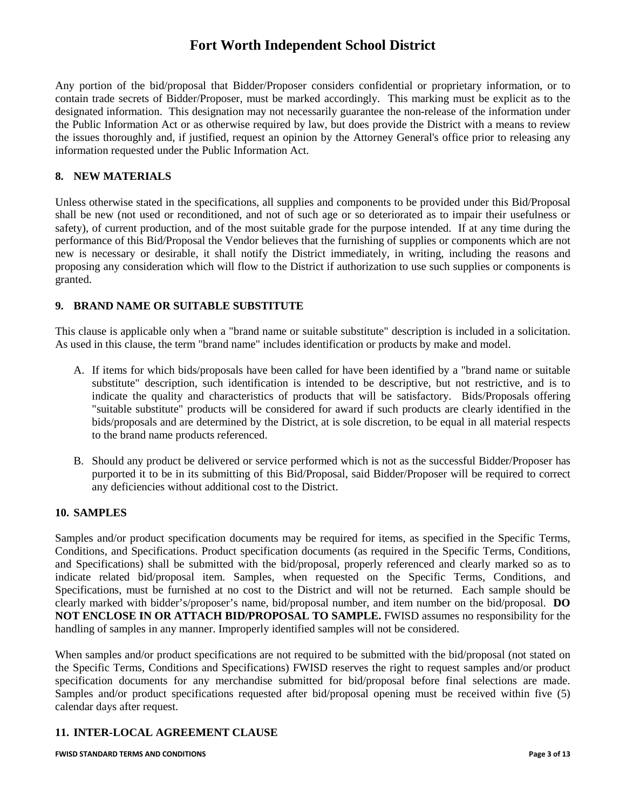Any portion of the bid/proposal that Bidder/Proposer considers confidential or proprietary information, or to contain trade secrets of Bidder/Proposer, must be marked accordingly. This marking must be explicit as to the designated information. This designation may not necessarily guarantee the non-release of the information under the Public Information Act or as otherwise required by law, but does provide the District with a means to review the issues thoroughly and, if justified, request an opinion by the Attorney General's office prior to releasing any information requested under the Public Information Act.

#### **8. NEW MATERIALS**

Unless otherwise stated in the specifications, all supplies and components to be provided under this Bid/Proposal shall be new (not used or reconditioned, and not of such age or so deteriorated as to impair their usefulness or safety), of current production, and of the most suitable grade for the purpose intended. If at any time during the performance of this Bid/Proposal the Vendor believes that the furnishing of supplies or components which are not new is necessary or desirable, it shall notify the District immediately, in writing, including the reasons and proposing any consideration which will flow to the District if authorization to use such supplies or components is granted.

#### **9. BRAND NAME OR SUITABLE SUBSTITUTE**

This clause is applicable only when a "brand name or suitable substitute" description is included in a solicitation. As used in this clause, the term "brand name" includes identification or products by make and model.

- A. If items for which bids/proposals have been called for have been identified by a "brand name or suitable substitute" description, such identification is intended to be descriptive, but not restrictive, and is to indicate the quality and characteristics of products that will be satisfactory. Bids/Proposals offering "suitable substitute" products will be considered for award if such products are clearly identified in the bids/proposals and are determined by the District, at is sole discretion, to be equal in all material respects to the brand name products referenced.
- B. Should any product be delivered or service performed which is not as the successful Bidder/Proposer has purported it to be in its submitting of this Bid/Proposal, said Bidder/Proposer will be required to correct any deficiencies without additional cost to the District.

#### **10. SAMPLES**

Samples and/or product specification documents may be required for items, as specified in the Specific Terms, Conditions, and Specifications. Product specification documents (as required in the Specific Terms, Conditions, and Specifications) shall be submitted with the bid/proposal, properly referenced and clearly marked so as to indicate related bid/proposal item. Samples, when requested on the Specific Terms, Conditions, and Specifications, must be furnished at no cost to the District and will not be returned. Each sample should be clearly marked with bidder's/proposer's name, bid/proposal number, and item number on the bid/proposal. **DO NOT ENCLOSE IN OR ATTACH BID/PROPOSAL TO SAMPLE.** FWISD assumes no responsibility for the handling of samples in any manner. Improperly identified samples will not be considered.

When samples and/or product specifications are not required to be submitted with the bid/proposal (not stated on the Specific Terms, Conditions and Specifications) FWISD reserves the right to request samples and/or product specification documents for any merchandise submitted for bid/proposal before final selections are made. Samples and/or product specifications requested after bid/proposal opening must be received within five (5) calendar days after request.

#### **11. INTER-LOCAL AGREEMENT CLAUSE**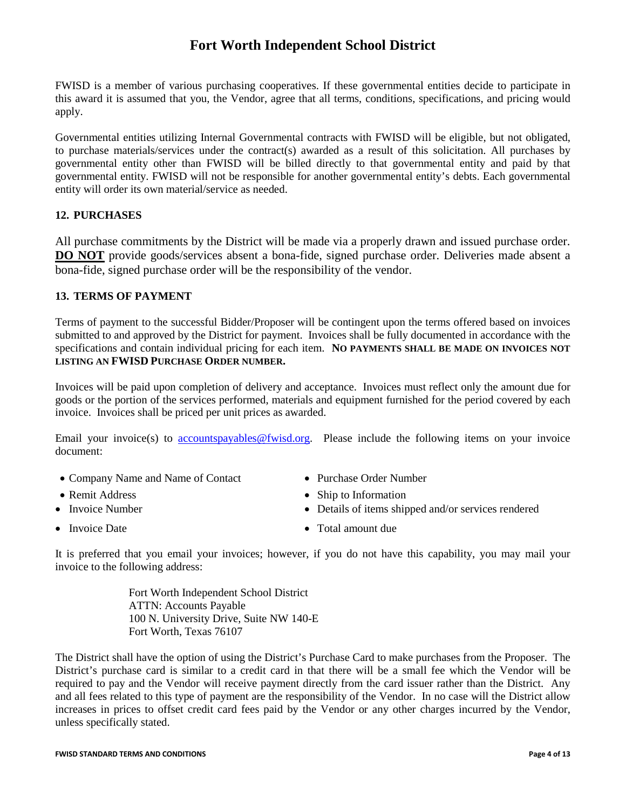FWISD is a member of various purchasing cooperatives. If these governmental entities decide to participate in this award it is assumed that you, the Vendor, agree that all terms, conditions, specifications, and pricing would apply.

Governmental entities utilizing Internal Governmental contracts with FWISD will be eligible, but not obligated, to purchase materials/services under the contract(s) awarded as a result of this solicitation. All purchases by governmental entity other than FWISD will be billed directly to that governmental entity and paid by that governmental entity. FWISD will not be responsible for another governmental entity's debts. Each governmental entity will order its own material/service as needed.

#### **12. PURCHASES**

All purchase commitments by the District will be made via a properly drawn and issued purchase order. **DO NOT** provide goods/services absent a bona-fide, signed purchase order. Deliveries made absent a bona-fide, signed purchase order will be the responsibility of the vendor.

### **13. TERMS OF PAYMENT**

Terms of payment to the successful Bidder/Proposer will be contingent upon the terms offered based on invoices submitted to and approved by the District for payment. Invoices shall be fully documented in accordance with the specifications and contain individual pricing for each item. **NO PAYMENTS SHALL BE MADE ON INVOICES NOT LISTING AN FWISD PURCHASE ORDER NUMBER.**

Invoices will be paid upon completion of delivery and acceptance. Invoices must reflect only the amount due for goods or the portion of the services performed, materials and equipment furnished for the period covered by each invoice. Invoices shall be priced per unit prices as awarded.

Email your invoice(s) to [accountspayables@fwisd.org.](mailto:accountspayble@fwisd.org) Please include the following items on your invoice document:

- Company Name and Name of Contact Purchase Order Number
- 
- 
- 
- 
- Remit Address Ship to Information
- Invoice Number **Details of items shipped and/or services rendered**
- Invoice Date Total amount due

It is preferred that you email your invoices; however, if you do not have this capability, you may mail your invoice to the following address:

> Fort Worth Independent School District ATTN: Accounts Payable 100 N. University Drive, Suite NW 140-E Fort Worth, Texas 76107

The District shall have the option of using the District's Purchase Card to make purchases from the Proposer. The District's purchase card is similar to a credit card in that there will be a small fee which the Vendor will be required to pay and the Vendor will receive payment directly from the card issuer rather than the District. Any and all fees related to this type of payment are the responsibility of the Vendor. In no case will the District allow increases in prices to offset credit card fees paid by the Vendor or any other charges incurred by the Vendor, unless specifically stated.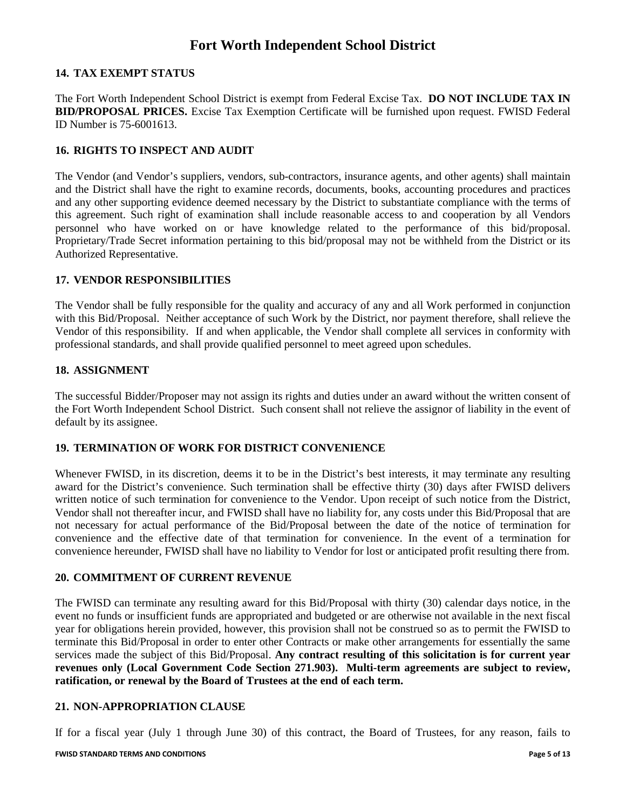#### **14. TAX EXEMPT STATUS**

The Fort Worth Independent School District is exempt from Federal Excise Tax. **DO NOT INCLUDE TAX IN BID/PROPOSAL PRICES.** Excise Tax Exemption Certificate will be furnished upon request. FWISD Federal ID Number is 75-6001613.

#### **16. RIGHTS TO INSPECT AND AUDIT**

The Vendor (and Vendor's suppliers, vendors, sub-contractors, insurance agents, and other agents) shall maintain and the District shall have the right to examine records, documents, books, accounting procedures and practices and any other supporting evidence deemed necessary by the District to substantiate compliance with the terms of this agreement. Such right of examination shall include reasonable access to and cooperation by all Vendors personnel who have worked on or have knowledge related to the performance of this bid/proposal. Proprietary/Trade Secret information pertaining to this bid/proposal may not be withheld from the District or its Authorized Representative.

#### **17. VENDOR RESPONSIBILITIES**

The Vendor shall be fully responsible for the quality and accuracy of any and all Work performed in conjunction with this Bid/Proposal. Neither acceptance of such Work by the District, nor payment therefore, shall relieve the Vendor of this responsibility. If and when applicable, the Vendor shall complete all services in conformity with professional standards, and shall provide qualified personnel to meet agreed upon schedules.

#### **18. ASSIGNMENT**

The successful Bidder/Proposer may not assign its rights and duties under an award without the written consent of the Fort Worth Independent School District. Such consent shall not relieve the assignor of liability in the event of default by its assignee.

#### **19. TERMINATION OF WORK FOR DISTRICT CONVENIENCE**

Whenever FWISD, in its discretion, deems it to be in the District's best interests, it may terminate any resulting award for the District's convenience. Such termination shall be effective thirty (30) days after FWISD delivers written notice of such termination for convenience to the Vendor. Upon receipt of such notice from the District, Vendor shall not thereafter incur, and FWISD shall have no liability for, any costs under this Bid/Proposal that are not necessary for actual performance of the Bid/Proposal between the date of the notice of termination for convenience and the effective date of that termination for convenience. In the event of a termination for convenience hereunder, FWISD shall have no liability to Vendor for lost or anticipated profit resulting there from.

#### **20. COMMITMENT OF CURRENT REVENUE**

The FWISD can terminate any resulting award for this Bid/Proposal with thirty (30) calendar days notice, in the event no funds or insufficient funds are appropriated and budgeted or are otherwise not available in the next fiscal year for obligations herein provided, however, this provision shall not be construed so as to permit the FWISD to terminate this Bid/Proposal in order to enter other Contracts or make other arrangements for essentially the same services made the subject of this Bid/Proposal. **Any contract resulting of this solicitation is for current year revenues only (Local Government Code Section 271.903). Multi-term agreements are subject to review, ratification, or renewal by the Board of Trustees at the end of each term.**

#### **21. NON-APPROPRIATION CLAUSE**

If for a fiscal year (July 1 through June 30) of this contract, the Board of Trustees, for any reason, fails to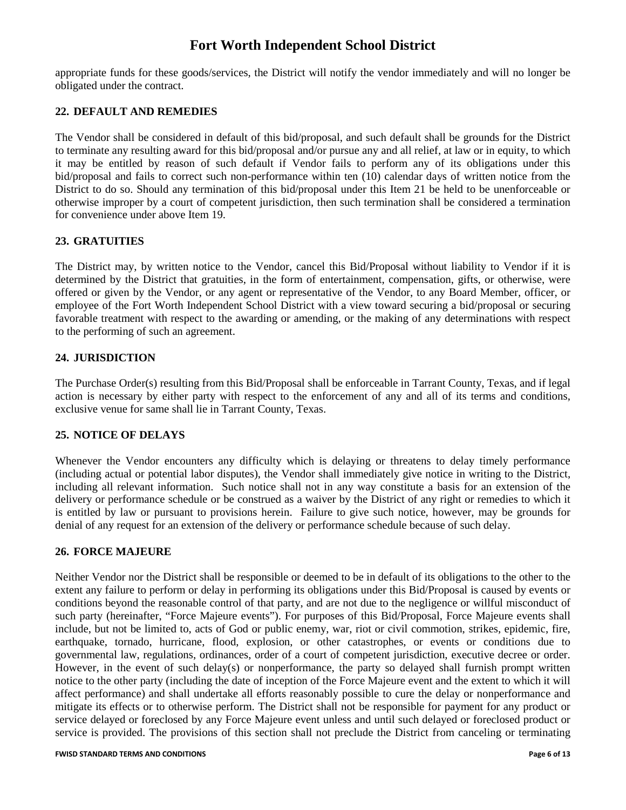appropriate funds for these goods/services, the District will notify the vendor immediately and will no longer be obligated under the contract.

### **22. DEFAULT AND REMEDIES**

The Vendor shall be considered in default of this bid/proposal, and such default shall be grounds for the District to terminate any resulting award for this bid/proposal and/or pursue any and all relief, at law or in equity, to which it may be entitled by reason of such default if Vendor fails to perform any of its obligations under this bid/proposal and fails to correct such non-performance within ten (10) calendar days of written notice from the District to do so. Should any termination of this bid/proposal under this Item 21 be held to be unenforceable or otherwise improper by a court of competent jurisdiction, then such termination shall be considered a termination for convenience under above Item 19.

#### **23. GRATUITIES**

The District may, by written notice to the Vendor, cancel this Bid/Proposal without liability to Vendor if it is determined by the District that gratuities, in the form of entertainment, compensation, gifts, or otherwise, were offered or given by the Vendor, or any agent or representative of the Vendor, to any Board Member, officer, or employee of the Fort Worth Independent School District with a view toward securing a bid/proposal or securing favorable treatment with respect to the awarding or amending, or the making of any determinations with respect to the performing of such an agreement.

#### **24. JURISDICTION**

The Purchase Order(s) resulting from this Bid/Proposal shall be enforceable in Tarrant County, Texas, and if legal action is necessary by either party with respect to the enforcement of any and all of its terms and conditions, exclusive venue for same shall lie in Tarrant County, Texas.

#### **25. NOTICE OF DELAYS**

Whenever the Vendor encounters any difficulty which is delaying or threatens to delay timely performance (including actual or potential labor disputes), the Vendor shall immediately give notice in writing to the District, including all relevant information. Such notice shall not in any way constitute a basis for an extension of the delivery or performance schedule or be construed as a waiver by the District of any right or remedies to which it is entitled by law or pursuant to provisions herein. Failure to give such notice, however, may be grounds for denial of any request for an extension of the delivery or performance schedule because of such delay.

#### **26. FORCE MAJEURE**

Neither Vendor nor the District shall be responsible or deemed to be in default of its obligations to the other to the extent any failure to perform or delay in performing its obligations under this Bid/Proposal is caused by events or conditions beyond the reasonable control of that party, and are not due to the negligence or willful misconduct of such party (hereinafter, "Force Majeure events"). For purposes of this Bid/Proposal, Force Majeure events shall include, but not be limited to, acts of God or public enemy, war, riot or civil commotion, strikes, epidemic, fire, earthquake, tornado, hurricane, flood, explosion, or other catastrophes, or events or conditions due to governmental law, regulations, ordinances, order of a court of competent jurisdiction, executive decree or order. However, in the event of such delay(s) or nonperformance, the party so delayed shall furnish prompt written notice to the other party (including the date of inception of the Force Majeure event and the extent to which it will affect performance) and shall undertake all efforts reasonably possible to cure the delay or nonperformance and mitigate its effects or to otherwise perform. The District shall not be responsible for payment for any product or service delayed or foreclosed by any Force Majeure event unless and until such delayed or foreclosed product or service is provided. The provisions of this section shall not preclude the District from canceling or terminating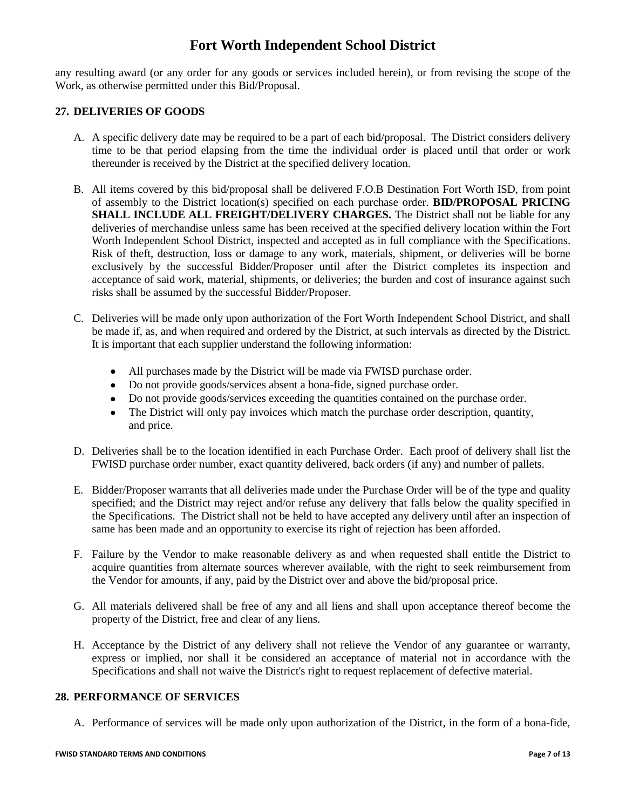any resulting award (or any order for any goods or services included herein), or from revising the scope of the Work, as otherwise permitted under this Bid/Proposal.

#### **27. DELIVERIES OF GOODS**

- A. A specific delivery date may be required to be a part of each bid/proposal. The District considers delivery time to be that period elapsing from the time the individual order is placed until that order or work thereunder is received by the District at the specified delivery location.
- B. All items covered by this bid/proposal shall be delivered F.O.B Destination Fort Worth ISD, from point of assembly to the District location(s) specified on each purchase order. **BID/PROPOSAL PRICING SHALL INCLUDE ALL FREIGHT/DELIVERY CHARGES.** The District shall not be liable for any deliveries of merchandise unless same has been received at the specified delivery location within the Fort Worth Independent School District, inspected and accepted as in full compliance with the Specifications. Risk of theft, destruction, loss or damage to any work, materials, shipment, or deliveries will be borne exclusively by the successful Bidder/Proposer until after the District completes its inspection and acceptance of said work, material, shipments, or deliveries; the burden and cost of insurance against such risks shall be assumed by the successful Bidder/Proposer.
- C. Deliveries will be made only upon authorization of the Fort Worth Independent School District, and shall be made if, as, and when required and ordered by the District, at such intervals as directed by the District. It is important that each supplier understand the following information:
	- All purchases made by the District will be made via FWISD purchase order.
	- Do not provide goods/services absent a bona-fide, signed purchase order.
	- Do not provide goods/services exceeding the quantities contained on the purchase order.
	- The District will only pay invoices which match the purchase order description, quantity, and price.
- D. Deliveries shall be to the location identified in each Purchase Order. Each proof of delivery shall list the FWISD purchase order number, exact quantity delivered, back orders (if any) and number of pallets.
- E. Bidder/Proposer warrants that all deliveries made under the Purchase Order will be of the type and quality specified; and the District may reject and/or refuse any delivery that falls below the quality specified in the Specifications. The District shall not be held to have accepted any delivery until after an inspection of same has been made and an opportunity to exercise its right of rejection has been afforded.
- F. Failure by the Vendor to make reasonable delivery as and when requested shall entitle the District to acquire quantities from alternate sources wherever available, with the right to seek reimbursement from the Vendor for amounts, if any, paid by the District over and above the bid/proposal price.
- G. All materials delivered shall be free of any and all liens and shall upon acceptance thereof become the property of the District, free and clear of any liens.
- H. Acceptance by the District of any delivery shall not relieve the Vendor of any guarantee or warranty, express or implied, nor shall it be considered an acceptance of material not in accordance with the Specifications and shall not waive the District's right to request replacement of defective material.

#### **28. PERFORMANCE OF SERVICES**

A. Performance of services will be made only upon authorization of the District, in the form of a bona-fide,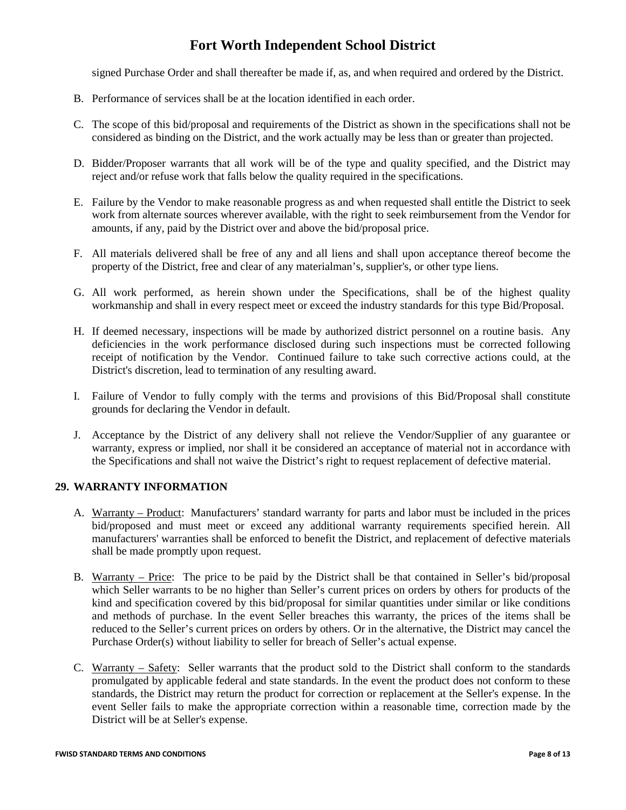signed Purchase Order and shall thereafter be made if, as, and when required and ordered by the District.

- B. Performance of services shall be at the location identified in each order.
- C. The scope of this bid/proposal and requirements of the District as shown in the specifications shall not be considered as binding on the District, and the work actually may be less than or greater than projected.
- D. Bidder/Proposer warrants that all work will be of the type and quality specified, and the District may reject and/or refuse work that falls below the quality required in the specifications.
- E. Failure by the Vendor to make reasonable progress as and when requested shall entitle the District to seek work from alternate sources wherever available, with the right to seek reimbursement from the Vendor for amounts, if any, paid by the District over and above the bid/proposal price.
- F. All materials delivered shall be free of any and all liens and shall upon acceptance thereof become the property of the District, free and clear of any materialman's, supplier's, or other type liens.
- G. All work performed, as herein shown under the Specifications, shall be of the highest quality workmanship and shall in every respect meet or exceed the industry standards for this type Bid/Proposal.
- H. If deemed necessary, inspections will be made by authorized district personnel on a routine basis. Any deficiencies in the work performance disclosed during such inspections must be corrected following receipt of notification by the Vendor. Continued failure to take such corrective actions could, at the District's discretion, lead to termination of any resulting award.
- I. Failure of Vendor to fully comply with the terms and provisions of this Bid/Proposal shall constitute grounds for declaring the Vendor in default.
- J. Acceptance by the District of any delivery shall not relieve the Vendor/Supplier of any guarantee or warranty, express or implied, nor shall it be considered an acceptance of material not in accordance with the Specifications and shall not waive the District's right to request replacement of defective material.

#### **29. WARRANTY INFORMATION**

- A. Warranty Product: Manufacturers' standard warranty for parts and labor must be included in the prices bid/proposed and must meet or exceed any additional warranty requirements specified herein. All manufacturers' warranties shall be enforced to benefit the District, and replacement of defective materials shall be made promptly upon request.
- B. Warranty Price: The price to be paid by the District shall be that contained in Seller's bid/proposal which Seller warrants to be no higher than Seller's current prices on orders by others for products of the kind and specification covered by this bid/proposal for similar quantities under similar or like conditions and methods of purchase. In the event Seller breaches this warranty, the prices of the items shall be reduced to the Seller's current prices on orders by others. Or in the alternative, the District may cancel the Purchase Order(s) without liability to seller for breach of Seller's actual expense.
- C. Warranty Safety: Seller warrants that the product sold to the District shall conform to the standards promulgated by applicable federal and state standards. In the event the product does not conform to these standards, the District may return the product for correction or replacement at the Seller's expense. In the event Seller fails to make the appropriate correction within a reasonable time, correction made by the District will be at Seller's expense.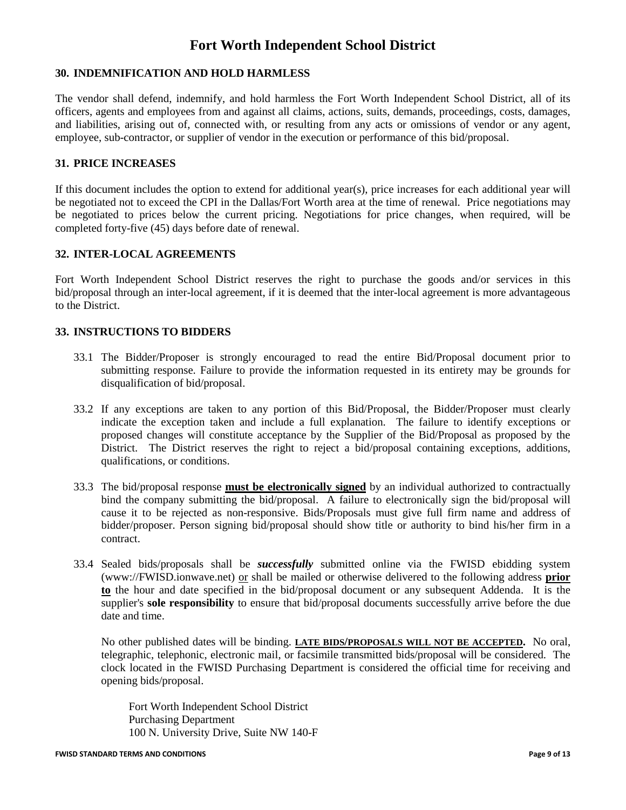### **30. INDEMNIFICATION AND HOLD HARMLESS**

The vendor shall defend, indemnify, and hold harmless the Fort Worth Independent School District, all of its officers, agents and employees from and against all claims, actions, suits, demands, proceedings, costs, damages, and liabilities, arising out of, connected with, or resulting from any acts or omissions of vendor or any agent, employee, sub-contractor, or supplier of vendor in the execution or performance of this bid/proposal.

### **31. PRICE INCREASES**

If this document includes the option to extend for additional year(s), price increases for each additional year will be negotiated not to exceed the CPI in the Dallas/Fort Worth area at the time of renewal. Price negotiations may be negotiated to prices below the current pricing. Negotiations for price changes, when required, will be completed forty-five (45) days before date of renewal.

#### **32. INTER-LOCAL AGREEMENTS**

Fort Worth Independent School District reserves the right to purchase the goods and/or services in this bid/proposal through an inter-local agreement, if it is deemed that the inter-local agreement is more advantageous to the District.

#### **33. INSTRUCTIONS TO BIDDERS**

- 33.1 The Bidder/Proposer is strongly encouraged to read the entire Bid/Proposal document prior to submitting response. Failure to provide the information requested in its entirety may be grounds for disqualification of bid/proposal.
- 33.2 If any exceptions are taken to any portion of this Bid/Proposal, the Bidder/Proposer must clearly indicate the exception taken and include a full explanation. The failure to identify exceptions or proposed changes will constitute acceptance by the Supplier of the Bid/Proposal as proposed by the District. The District reserves the right to reject a bid/proposal containing exceptions, additions, qualifications, or conditions.
- 33.3 The bid/proposal response **must be electronically signed** by an individual authorized to contractually bind the company submitting the bid/proposal. A failure to electronically sign the bid/proposal will cause it to be rejected as non-responsive. Bids/Proposals must give full firm name and address of bidder/proposer. Person signing bid/proposal should show title or authority to bind his/her firm in a contract.
- 33.4 Sealed bids/proposals shall be *successfully* submitted online via the FWISD ebidding system (www://FWISD.ionwave.net) or shall be mailed or otherwise delivered to the following address **prior to** the hour and date specified in the bid/proposal document or any subsequent Addenda. It is the supplier's **sole responsibility** to ensure that bid/proposal documents successfully arrive before the due date and time.

No other published dates will be binding. **LATE BIDS/PROPOSALS WILL NOT BE ACCEPTED.** No oral, telegraphic, telephonic, electronic mail, or facsimile transmitted bids/proposal will be considered. The clock located in the FWISD Purchasing Department is considered the official time for receiving and opening bids/proposal.

Fort Worth Independent School District Purchasing Department 100 N. University Drive, Suite NW 140-F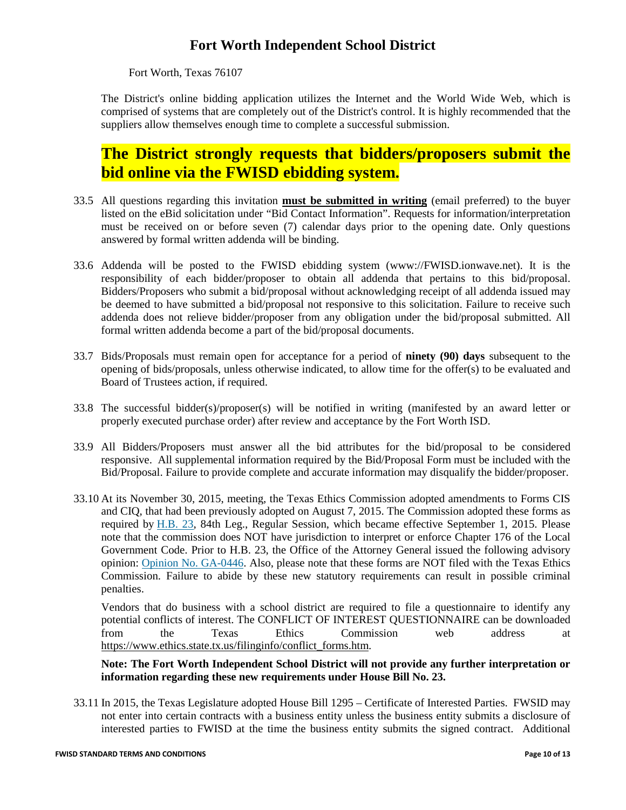Fort Worth, Texas 76107

The District's online bidding application utilizes the Internet and the World Wide Web, which is comprised of systems that are completely out of the District's control. It is highly recommended that the suppliers allow themselves enough time to complete a successful submission.

# **The District strongly requests that bidders/proposers submit the bid online via the FWISD ebidding system.**

- 33.5 All questions regarding this invitation **must be submitted in writing** (email preferred) to the buyer listed on the eBid solicitation under "Bid Contact Information". Requests for information/interpretation must be received on or before seven (7) calendar days prior to the opening date. Only questions answered by formal written addenda will be binding.
- 33.6 Addenda will be posted to the FWISD ebidding system (www://FWISD.ionwave.net). It is the responsibility of each bidder/proposer to obtain all addenda that pertains to this bid/proposal. Bidders/Proposers who submit a bid/proposal without acknowledging receipt of all addenda issued may be deemed to have submitted a bid/proposal not responsive to this solicitation. Failure to receive such addenda does not relieve bidder/proposer from any obligation under the bid/proposal submitted. All formal written addenda become a part of the bid/proposal documents.
- 33.7 Bids/Proposals must remain open for acceptance for a period of **ninety (90) days** subsequent to the opening of bids/proposals, unless otherwise indicated, to allow time for the offer(s) to be evaluated and Board of Trustees action, if required.
- 33.8 The successful bidder(s)/proposer(s) will be notified in writing (manifested by an award letter or properly executed purchase order) after review and acceptance by the Fort Worth ISD.
- 33.9 All Bidders/Proposers must answer all the bid attributes for the bid/proposal to be considered responsive. All supplemental information required by the Bid/Proposal Form must be included with the Bid/Proposal. Failure to provide complete and accurate information may disqualify the bidder/proposer.
- 33.10 At its November 30, 2015, meeting, the Texas Ethics Commission adopted amendments to Forms CIS and CIQ, that had been previously adopted on August 7, 2015. The Commission adopted these forms as required by [H.B. 23,](http://www.capitol.state.tx.us/tlodocs/84R/billtext/html/HB00023F.HTM) 84th Leg., Regular Session, which became effective September 1, 2015. Please note that the commission does NOT have jurisdiction to interpret or enforce Chapter 176 of the Local Government Code. Prior to H.B. 23, the Office of the Attorney General issued the following advisory opinion: [Opinion No. GA-0446.](https://www.texasattorneygeneral.gov/opinions/opinions/50abbott/op/2006/htm/ga0446.htm) Also, please note that these forms are NOT filed with the Texas Ethics Commission. Failure to abide by these new statutory requirements can result in possible criminal penalties.

Vendors that do business with a school district are required to file a questionnaire to identify any potential conflicts of interest. The CONFLICT OF INTEREST QUESTIONNAIRE can be downloaded from the Texas Ethics Commission web address at [https://www.ethics.state.tx.us/filinginfo/conflict\\_forms.htm.](https://www.ethics.state.tx.us/filinginfo/conflict_forms.htm)

#### **Note: The Fort Worth Independent School District will not provide any further interpretation or information regarding these new requirements under House Bill No. 23.**

33.11 In 2015, the Texas Legislature adopted House Bill 1295 – Certificate of Interested Parties. FWSID may not enter into certain contracts with a business entity unless the business entity submits a disclosure of interested parties to FWISD at the time the business entity submits the signed contract. Additional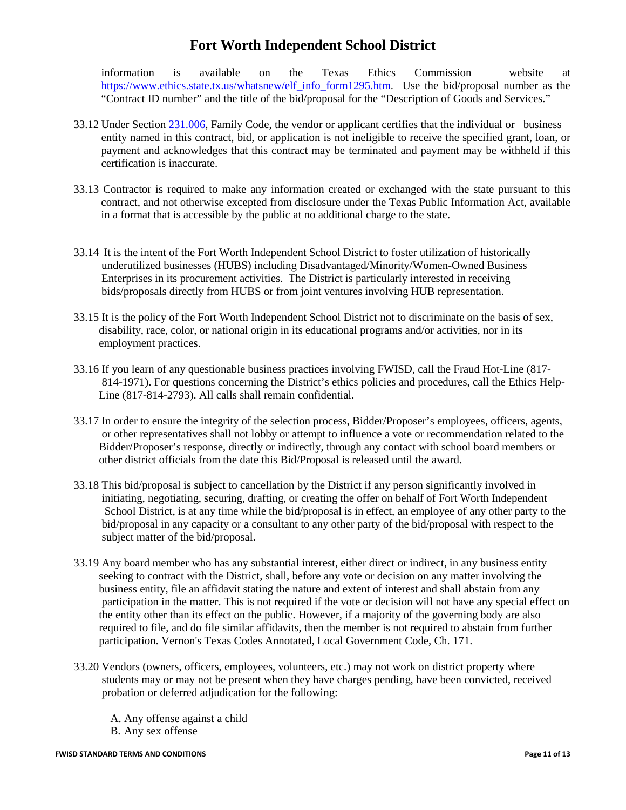information is available on the Texas Ethics Commission website at [https://www.ethics.state.tx.us/whatsnew/elf\\_info\\_form1295.htm.](https://www.ethics.state.tx.us/whatsnew/elf_info_form1295.htm) Use the bid/proposal number as the "Contract ID number" and the title of the bid/proposal for the "Description of Goods and Services."

- 33.12 Under Section [231.006,](http://www.statutes.legis.state.tx.us/GetStatute.aspx?Code=FA&Value=231.006) Family Code, the vendor or applicant certifies that the individual or business entity named in this contract, bid, or application is not ineligible to receive the specified grant, loan, or payment and acknowledges that this contract may be terminated and payment may be withheld if this certification is inaccurate.
- 33.13 Contractor is required to make any information created or exchanged with the state pursuant to this contract, and not otherwise excepted from disclosure under the Texas Public Information Act, available in a format that is accessible by the public at no additional charge to the state.
- 33.14 It is the intent of the Fort Worth Independent School District to foster utilization of historically underutilized businesses (HUBS) including Disadvantaged/Minority/Women-Owned Business Enterprises in its procurement activities. The District is particularly interested in receiving bids/proposals directly from HUBS or from joint ventures involving HUB representation.
- 33.15 It is the policy of the Fort Worth Independent School District not to discriminate on the basis of sex, disability, race, color, or national origin in its educational programs and/or activities, nor in its employment practices.
- 33.16 If you learn of any questionable business practices involving FWISD, call the Fraud Hot-Line (817- 814-1971). For questions concerning the District's ethics policies and procedures, call the Ethics Help- Line (817-814-2793). All calls shall remain confidential.
- 33.17 In order to ensure the integrity of the selection process, Bidder/Proposer's employees, officers, agents, or other representatives shall not lobby or attempt to influence a vote or recommendation related to the Bidder/Proposer's response, directly or indirectly, through any contact with school board members or other district officials from the date this Bid/Proposal is released until the award.
- 33.18 This bid/proposal is subject to cancellation by the District if any person significantly involved in initiating, negotiating, securing, drafting, or creating the offer on behalf of Fort Worth Independent School District, is at any time while the bid/proposal is in effect, an employee of any other party to the bid/proposal in any capacity or a consultant to any other party of the bid/proposal with respect to the subject matter of the bid/proposal.
- 33.19 Any board member who has any substantial interest, either direct or indirect, in any business entity seeking to contract with the District, shall, before any vote or decision on any matter involving the business entity, file an affidavit stating the nature and extent of interest and shall abstain from any participation in the matter. This is not required if the vote or decision will not have any special effect on the entity other than its effect on the public. However, if a majority of the governing body are also required to file, and do file similar affidavits, then the member is not required to abstain from further participation. Vernon's Texas Codes Annotated, Local Government Code, Ch. 171.
- 33.20 Vendors (owners, officers, employees, volunteers, etc.) may not work on district property where students may or may not be present when they have charges pending, have been convicted, received probation or deferred adjudication for the following:

A. Any offense against a child B. Any sex offense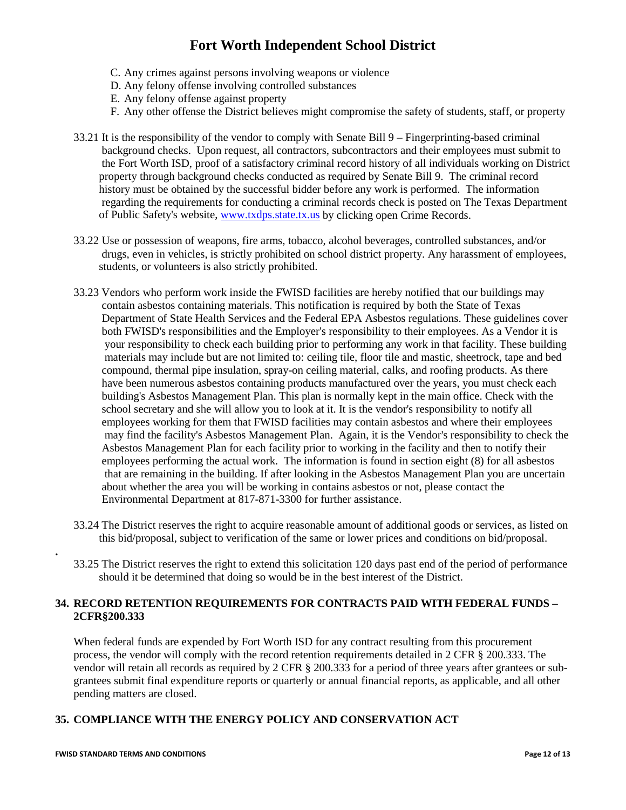- C. Any crimes against persons involving weapons or violence
- D. Any felony offense involving controlled substances
- E. Any felony offense against property
- F. Any other offense the District believes might compromise the safety of students, staff, or property
- 33.21 It is the responsibility of the vendor to comply with Senate Bill 9 Fingerprinting-based criminal background checks. Upon request, all contractors, subcontractors and their employees must submit to the Fort Worth ISD, proof of a satisfactory criminal record history of all individuals working on District property through background checks conducted as required by Senate Bill 9. The criminal record history must be obtained by the successful bidder before any work is performed. The information regarding the requirements for conducting a criminal records check is posted on The Texas Department of Public Safety's website[, www.txdps.state.tx.us](http://webmail.fwisd.org/exchweb/bin/redir.asp?URL=http://www.txdps.state.tx.us) by clicking open Crime Records.
- 33.22 Use or possession of weapons, fire arms, tobacco, alcohol beverages, controlled substances, and/or drugs, even in vehicles, is strictly prohibited on school district property. Any harassment of employees, students, or volunteers is also strictly prohibited.
- 33.23 Vendors who perform work inside the FWISD facilities are hereby notified that our buildings may contain asbestos containing materials. This notification is required by both the State of Texas Department of State Health Services and the Federal EPA Asbestos regulations. These guidelines cover both FWISD's responsibilities and the Employer's responsibility to their employees. As a Vendor it is your responsibility to check each building prior to performing any work in that facility. These building materials may include but are not limited to: ceiling tile, floor tile and mastic, sheetrock, tape and bed compound, thermal pipe insulation, spray-on ceiling material, calks, and roofing products. As there have been numerous asbestos containing products manufactured over the years, you must check each building's Asbestos Management Plan. This plan is normally kept in the main office. Check with the school secretary and she will allow you to look at it. It is the vendor's responsibility to notify all employees working for them that FWISD facilities may contain asbestos and where their employees may find the facility's Asbestos Management Plan. Again, it is the Vendor's responsibility to check the Asbestos Management Plan for each facility prior to working in the facility and then to notify their employees performing the actual work. The information is found in section eight (8) for all asbestos that are remaining in the building. If after looking in the Asbestos Management Plan you are uncertain about whether the area you will be working in contains asbestos or not, please contact the Environmental Department at 817-871-3300 for further assistance.
- 33.24 The District reserves the right to acquire reasonable amount of additional goods or services, as listed on this bid/proposal, subject to verification of the same or lower prices and conditions on bid/proposal.
- 33.25 The District reserves the right to extend this solicitation 120 days past end of the period of performance should it be determined that doing so would be in the best interest of the District.

### **34. RECORD RETENTION REQUIREMENTS FOR CONTRACTS PAID WITH FEDERAL FUNDS – 2CFR§200.333**

When federal funds are expended by Fort Worth ISD for any contract resulting from this procurement process, the vendor will comply with the record retention requirements detailed in 2 CFR § 200.333. The vendor will retain all records as required by 2 CFR § 200.333 for a period of three years after grantees or subgrantees submit final expenditure reports or quarterly or annual financial reports, as applicable, and all other pending matters are closed.

### **35. COMPLIANCE WITH THE ENERGY POLICY AND CONSERVATION ACT**

**.**